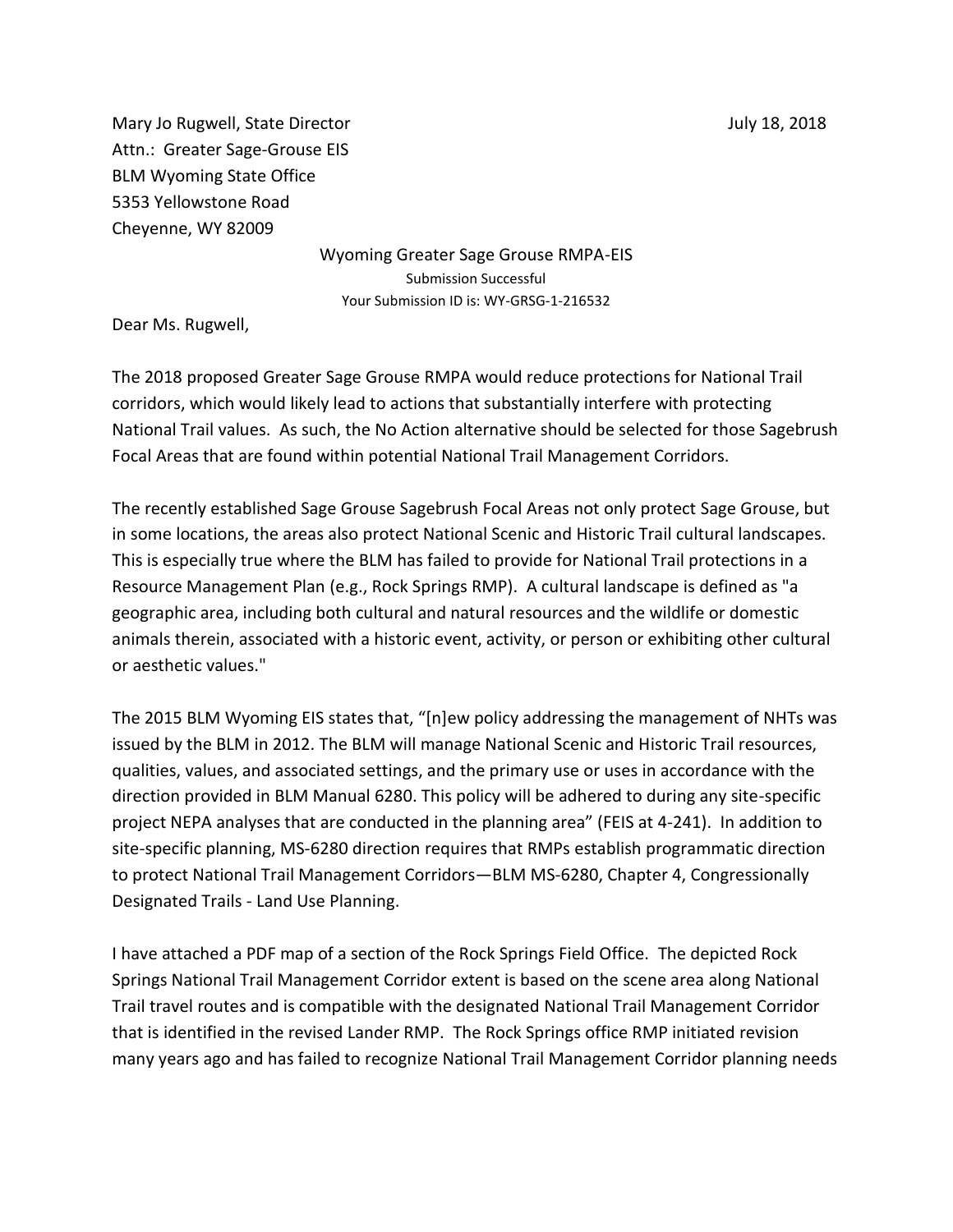Mary Jo Rugwell, State Director And The Control of The Control of Tuly 18, 2018 Attn.: Greater Sage-Grouse EIS BLM Wyoming State Office 5353 Yellowstone Road Cheyenne, WY 82009

> Wyoming Greater Sage Grouse RMPA-EIS Submission Successful Your Submission ID is: WY-GRSG-1-216532

Dear Ms. Rugwell,

The 2018 proposed Greater Sage Grouse RMPA would reduce protections for National Trail corridors, which would likely lead to actions that substantially interfere with protecting National Trail values. As such, the No Action alternative should be selected for those Sagebrush Focal Areas that are found within potential National Trail Management Corridors.

The recently established Sage Grouse Sagebrush Focal Areas not only protect Sage Grouse, but in some locations, the areas also protect National Scenic and Historic Trail cultural landscapes. This is especially true where the BLM has failed to provide for National Trail protections in a Resource Management Plan (e.g., Rock Springs RMP). A cultural landscape is defined as "a geographic area, including both cultural and natural resources and the wildlife or domestic animals therein, associated with a historic event, activity, or person or exhibiting other cultural or aesthetic values."

The 2015 BLM Wyoming EIS states that, "[n]ew policy addressing the management of NHTs was issued by the BLM in 2012. The BLM will manage National Scenic and Historic Trail resources, qualities, values, and associated settings, and the primary use or uses in accordance with the direction provided in BLM Manual 6280. This policy will be adhered to during any site-specific project NEPA analyses that are conducted in the planning area" (FEIS at 4-241). In addition to site-specific planning, MS-6280 direction requires that RMPs establish programmatic direction to protect National Trail Management Corridors—BLM MS-6280, Chapter 4, Congressionally Designated Trails - Land Use Planning.

I have attached a PDF map of a section of the Rock Springs Field Office. The depicted Rock Springs National Trail Management Corridor extent is based on the scene area along National Trail travel routes and is compatible with the designated National Trail Management Corridor that is identified in the revised Lander RMP. The Rock Springs office RMP initiated revision many years ago and has failed to recognize National Trail Management Corridor planning needs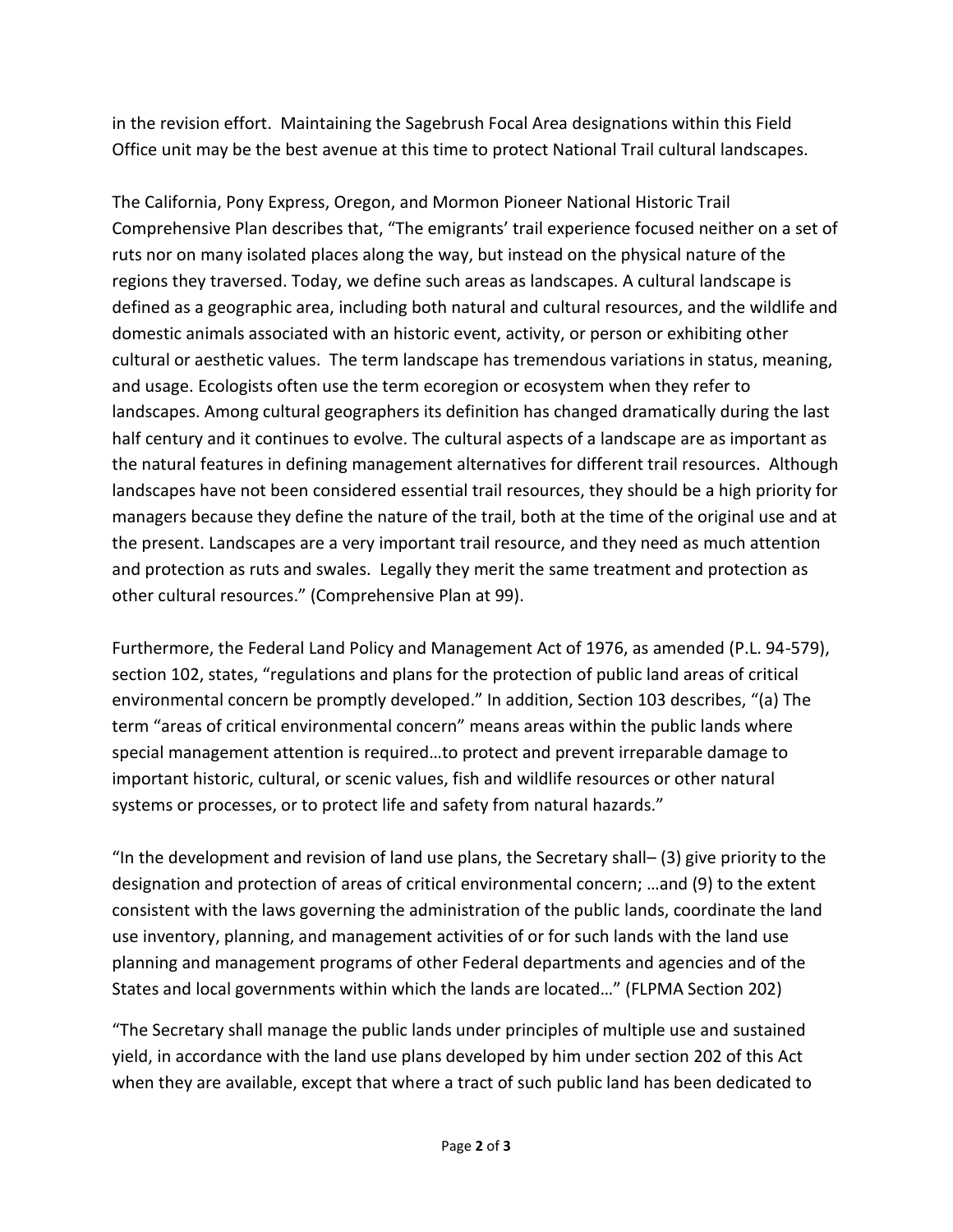in the revision effort. Maintaining the Sagebrush Focal Area designations within this Field Office unit may be the best avenue at this time to protect National Trail cultural landscapes.

The California, Pony Express, Oregon, and Mormon Pioneer National Historic Trail Comprehensive Plan describes that, "The emigrants' trail experience focused neither on a set of ruts nor on many isolated places along the way, but instead on the physical nature of the regions they traversed. Today, we define such areas as landscapes. A cultural landscape is defined as a geographic area, including both natural and cultural resources, and the wildlife and domestic animals associated with an historic event, activity, or person or exhibiting other cultural or aesthetic values. The term landscape has tremendous variations in status, meaning, and usage. Ecologists often use the term ecoregion or ecosystem when they refer to landscapes. Among cultural geographers its definition has changed dramatically during the last half century and it continues to evolve. The cultural aspects of a landscape are as important as the natural features in defining management alternatives for different trail resources. Although landscapes have not been considered essential trail resources, they should be a high priority for managers because they define the nature of the trail, both at the time of the original use and at the present. Landscapes are a very important trail resource, and they need as much attention and protection as ruts and swales. Legally they merit the same treatment and protection as other cultural resources." (Comprehensive Plan at 99).

Furthermore, the Federal Land Policy and Management Act of 1976, as amended (P.L. 94-579), section 102, states, "regulations and plans for the protection of public land areas of critical environmental concern be promptly developed." In addition, Section 103 describes, "(a) The term "areas of critical environmental concern" means areas within the public lands where special management attention is required…to protect and prevent irreparable damage to important historic, cultural, or scenic values, fish and wildlife resources or other natural systems or processes, or to protect life and safety from natural hazards."

"In the development and revision of land use plans, the Secretary shall– (3) give priority to the designation and protection of areas of critical environmental concern; …and (9) to the extent consistent with the laws governing the administration of the public lands, coordinate the land use inventory, planning, and management activities of or for such lands with the land use planning and management programs of other Federal departments and agencies and of the States and local governments within which the lands are located…" (FLPMA Section 202)

"The Secretary shall manage the public lands under principles of multiple use and sustained yield, in accordance with the land use plans developed by him under section 202 of this Act when they are available, except that where a tract of such public land has been dedicated to